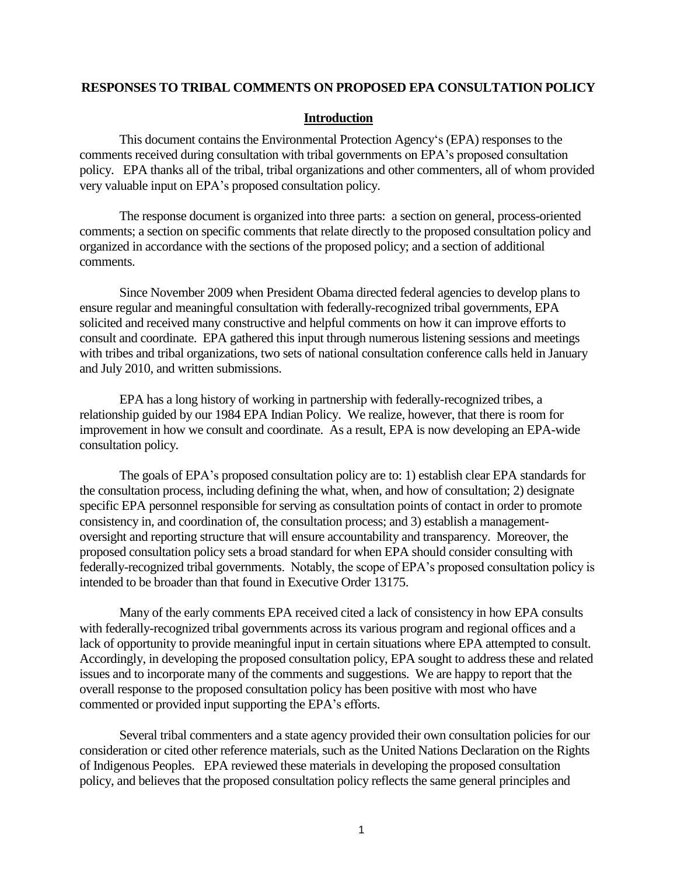#### **RESPONSES TO TRIBAL COMMENTS ON PROPOSED EPA CONSULTATION POLICY**

#### **Introduction**

This document contains the Environmental Protection Agency"s (EPA) responses to the comments received during consultation with tribal governments on EPA"s proposed consultation policy. EPA thanks all of the tribal, tribal organizations and other commenters, all of whom provided very valuable input on EPA"s proposed consultation policy.

The response document is organized into three parts: a section on general, process-oriented comments; a section on specific comments that relate directly to the proposed consultation policy and organized in accordance with the sections of the proposed policy; and a section of additional comments.

Since November 2009 when President Obama directed federal agencies to develop plans to ensure regular and meaningful consultation with federally-recognized tribal governments, EPA solicited and received many constructive and helpful comments on how it can improve efforts to consult and coordinate. EPA gathered this input through numerous listening sessions and meetings with tribes and tribal organizations, two sets of national consultation conference calls held in January and July 2010, and written submissions.

EPA has a long history of working in partnership with federally-recognized tribes, a relationship guided by our 1984 EPA Indian Policy. We realize, however, that there is room for improvement in how we consult and coordinate. As a result, EPA is now developing an EPA-wide consultation policy.

The goals of EPA"s proposed consultation policy are to: 1) establish clear EPA standards for the consultation process, including defining the what, when, and how of consultation; 2) designate specific EPA personnel responsible for serving as consultation points of contact in order to promote consistency in, and coordination of, the consultation process; and 3) establish a managementoversight and reporting structure that will ensure accountability and transparency. Moreover, the proposed consultation policy sets a broad standard for when EPA should consider consulting with federally-recognized tribal governments. Notably, the scope of EPA"s proposed consultation policy is intended to be broader than that found in Executive Order 13175.

Many of the early comments EPA received cited a lack of consistency in how EPA consults with federally-recognized tribal governments across its various program and regional offices and a lack of opportunity to provide meaningful input in certain situations where EPA attempted to consult. Accordingly, in developing the proposed consultation policy, EPA sought to address these and related issues and to incorporate many of the comments and suggestions. We are happy to report that the overall response to the proposed consultation policy has been positive with most who have commented or provided input supporting the EPA's efforts.

Several tribal commenters and a state agency provided their own consultation policies for our consideration or cited other reference materials, such as the United Nations Declaration on the Rights of Indigenous Peoples. EPA reviewed these materials in developing the proposed consultation policy, and believes that the proposed consultation policy reflects the same general principles and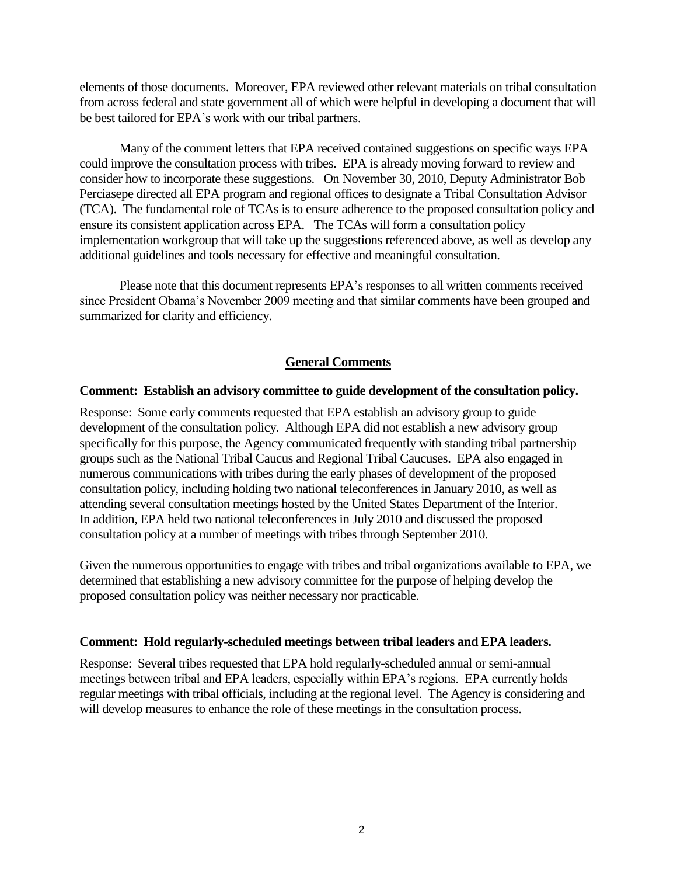elements of those documents. Moreover, EPA reviewed other relevant materials on tribal consultation from across federal and state government all of which were helpful in developing a document that will be best tailored for EPA"s work with our tribal partners.

Many of the comment letters that EPA received contained suggestions on specific ways EPA could improve the consultation process with tribes. EPA is already moving forward to review and consider how to incorporate these suggestions. On November 30, 2010, Deputy Administrator Bob Perciasepe directed all EPA program and regional offices to designate a Tribal Consultation Advisor (TCA). The fundamental role of TCAs is to ensure adherence to the proposed consultation policy and ensure its consistent application across EPA. The TCAs will form a consultation policy implementation workgroup that will take up the suggestions referenced above, as well as develop any additional guidelines and tools necessary for effective and meaningful consultation.

Please note that this document represents EPA"s responses to all written comments received since President Obama"s November 2009 meeting and that similar comments have been grouped and summarized for clarity and efficiency.

# **General Comments**

#### **Comment: Establish an advisory committee to guide development of the consultation policy.**

Response: Some early comments requested that EPA establish an advisory group to guide development of the consultation policy. Although EPA did not establish a new advisory group specifically for this purpose, the Agency communicated frequently with standing tribal partnership groups such as the National Tribal Caucus and Regional Tribal Caucuses. EPA also engaged in numerous communications with tribes during the early phases of development of the proposed consultation policy, including holding two national teleconferences in January 2010, as well as attending several consultation meetings hosted by the United States Department of the Interior. In addition, EPA held two national teleconferences in July 2010 and discussed the proposed consultation policy at a number of meetings with tribes through September 2010.

Given the numerous opportunities to engage with tribes and tribal organizations available to EPA, we determined that establishing a new advisory committee for the purpose of helping develop the proposed consultation policy was neither necessary nor practicable.

#### **Comment: Hold regularly-scheduled meetings between tribal leaders and EPA leaders.**

Response: Several tribes requested that EPA hold regularly-scheduled annual or semi-annual meetings between tribal and EPA leaders, especially within EPA"s regions. EPA currently holds regular meetings with tribal officials, including at the regional level. The Agency is considering and will develop measures to enhance the role of these meetings in the consultation process.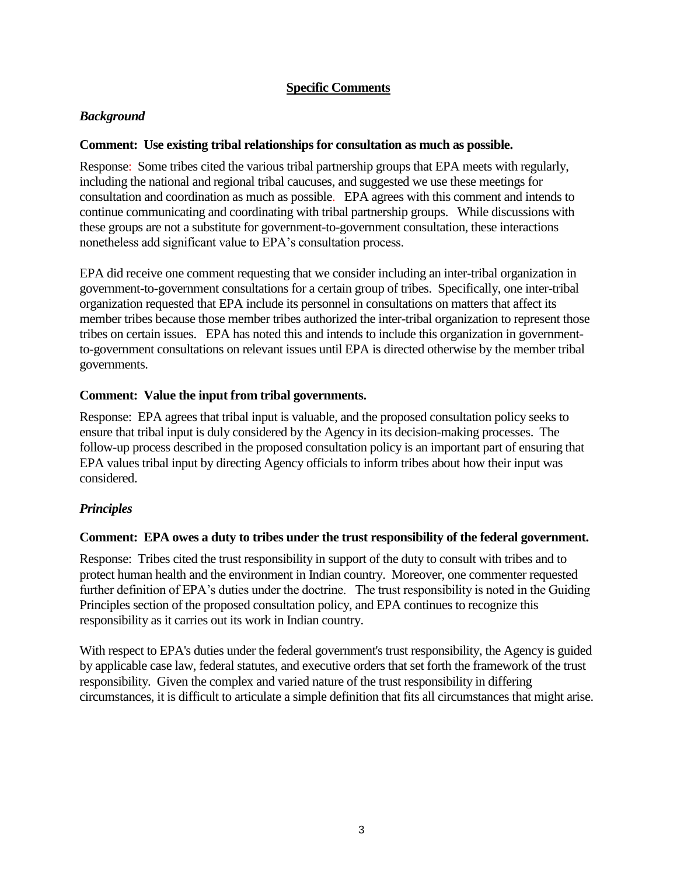# **Specific Comments**

# *Background*

## **Comment: Use existing tribal relationships for consultation as much as possible.**

Response: Some tribes cited the various tribal partnership groups that EPA meets with regularly, including the national and regional tribal caucuses, and suggested we use these meetings for consultation and coordination as much as possible. EPA agrees with this comment and intends to continue communicating and coordinating with tribal partnership groups. While discussions with these groups are not a substitute for government-to-government consultation, these interactions nonetheless add significant value to EPA"s consultation process.

EPA did receive one comment requesting that we consider including an inter-tribal organization in government-to-government consultations for a certain group of tribes. Specifically, one inter-tribal organization requested that EPA include its personnel in consultations on matters that affect its member tribes because those member tribes authorized the inter-tribal organization to represent those tribes on certain issues. EPA has noted this and intends to include this organization in governmentto-government consultations on relevant issues until EPA is directed otherwise by the member tribal governments.

## **Comment: Value the input from tribal governments.**

Response: EPA agrees that tribal input is valuable, and the proposed consultation policy seeks to ensure that tribal input is duly considered by the Agency in its decision-making processes. The follow-up process described in the proposed consultation policy is an important part of ensuring that EPA values tribal input by directing Agency officials to inform tribes about how their input was considered.

# *Principles*

### **Comment: EPA owes a duty to tribes under the trust responsibility of the federal government.**

Response: Tribes cited the trust responsibility in support of the duty to consult with tribes and to protect human health and the environment in Indian country. Moreover, one commenter requested further definition of EPA's duties under the doctrine. The trust responsibility is noted in the Guiding Principles section of the proposed consultation policy, and EPA continues to recognize this responsibility as it carries out its work in Indian country.

With respect to EPA's duties under the federal government's trust responsibility, the Agency is guided by applicable case law, federal statutes, and executive orders that set forth the framework of the trust responsibility. Given the complex and varied nature of the trust responsibility in differing circumstances, it is difficult to articulate a simple definition that fits all circumstances that might arise.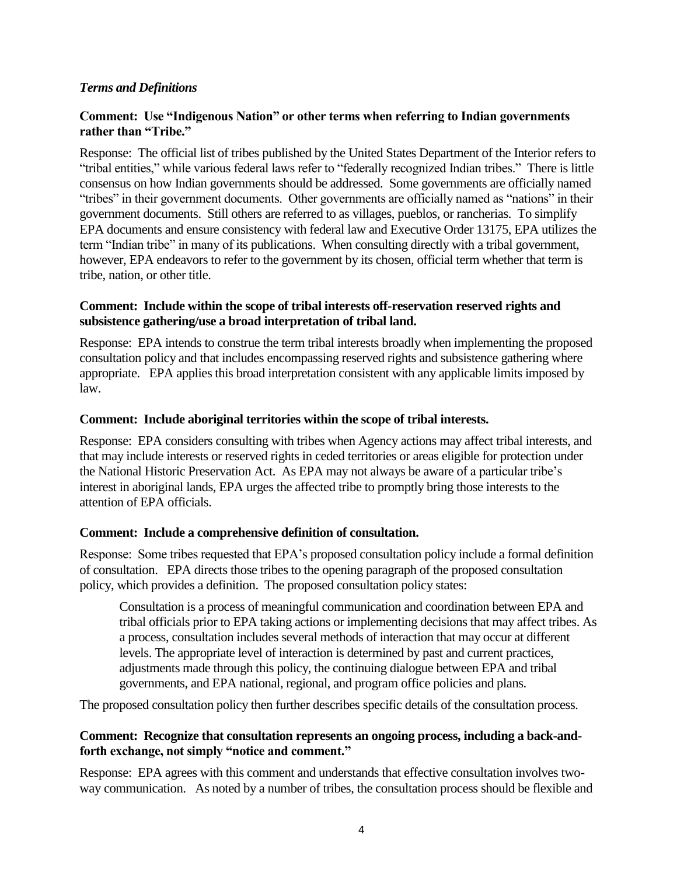## *Terms and Definitions*

## **Comment: Use "Indigenous Nation" or other terms when referring to Indian governments rather than "Tribe."**

Response: The official list of tribes published by the United States Department of the Interior refers to "tribal entities," while various federal laws refer to "federally recognized Indian tribes." There is little consensus on how Indian governments should be addressed. Some governments are officially named "tribes" in their government documents. Other governments are officially named as "nations" in their government documents. Still others are referred to as villages, pueblos, or rancherias. To simplify EPA documents and ensure consistency with federal law and Executive Order 13175, EPA utilizes the term "Indian tribe" in many of its publications. When consulting directly with a tribal government, however, EPA endeavors to refer to the government by its chosen, official term whether that term is tribe, nation, or other title.

### **Comment: Include within the scope of tribal interests off-reservation reserved rights and subsistence gathering/use a broad interpretation of tribal land.**

Response: EPA intends to construe the term tribal interests broadly when implementing the proposed consultation policy and that includes encompassing reserved rights and subsistence gathering where appropriate. EPA applies this broad interpretation consistent with any applicable limits imposed by law.

### **Comment: Include aboriginal territories within the scope of tribal interests.**

Response: EPA considers consulting with tribes when Agency actions may affect tribal interests, and that may include interests or reserved rights in ceded territories or areas eligible for protection under the National Historic Preservation Act. As EPA may not always be aware of a particular tribe"s interest in aboriginal lands, EPA urges the affected tribe to promptly bring those interests to the attention of EPA officials.

### **Comment: Include a comprehensive definition of consultation.**

Response: Some tribes requested that EPA"s proposed consultation policy include a formal definition of consultation. EPA directs those tribes to the opening paragraph of the proposed consultation policy, which provides a definition. The proposed consultation policy states:

Consultation is a process of meaningful communication and coordination between EPA and tribal officials prior to EPA taking actions or implementing decisions that may affect tribes. As a process, consultation includes several methods of interaction that may occur at different levels. The appropriate level of interaction is determined by past and current practices, adjustments made through this policy, the continuing dialogue between EPA and tribal governments, and EPA national, regional, and program office policies and plans.

The proposed consultation policy then further describes specific details of the consultation process.

### **Comment: Recognize that consultation represents an ongoing process, including a back-andforth exchange, not simply "notice and comment."**

Response: EPA agrees with this comment and understands that effective consultation involves twoway communication. As noted by a number of tribes, the consultation process should be flexible and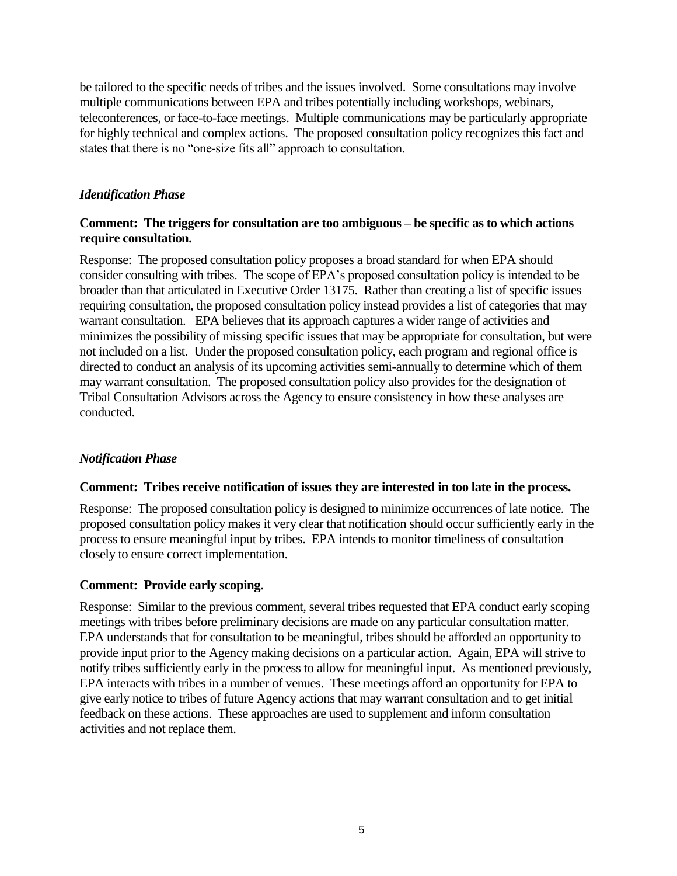be tailored to the specific needs of tribes and the issues involved. Some consultations may involve multiple communications between EPA and tribes potentially including workshops, webinars, teleconferences, or face-to-face meetings. Multiple communications may be particularly appropriate for highly technical and complex actions. The proposed consultation policy recognizes this fact and states that there is no "one-size fits all" approach to consultation.

# *Identification Phase*

## **Comment: The triggers for consultation are too ambiguous – be specific as to which actions require consultation.**

Response: The proposed consultation policy proposes a broad standard for when EPA should consider consulting with tribes. The scope of EPA"s proposed consultation policy is intended to be broader than that articulated in Executive Order 13175. Rather than creating a list of specific issues requiring consultation, the proposed consultation policy instead provides a list of categories that may warrant consultation. EPA believes that its approach captures a wider range of activities and minimizes the possibility of missing specific issues that may be appropriate for consultation, but were not included on a list. Under the proposed consultation policy, each program and regional office is directed to conduct an analysis of its upcoming activities semi-annually to determine which of them may warrant consultation. The proposed consultation policy also provides for the designation of Tribal Consultation Advisors across the Agency to ensure consistency in how these analyses are conducted.

# *Notification Phase*

# **Comment: Tribes receive notification of issues they are interested in too late in the process.**

Response: The proposed consultation policy is designed to minimize occurrences of late notice. The proposed consultation policy makes it very clear that notification should occur sufficiently early in the process to ensure meaningful input by tribes. EPA intends to monitor timeliness of consultation closely to ensure correct implementation.

# **Comment: Provide early scoping.**

Response: Similar to the previous comment, several tribes requested that EPA conduct early scoping meetings with tribes before preliminary decisions are made on any particular consultation matter. EPA understands that for consultation to be meaningful, tribes should be afforded an opportunity to provide input prior to the Agency making decisions on a particular action. Again, EPA will strive to notify tribes sufficiently early in the process to allow for meaningful input. As mentioned previously, EPA interacts with tribes in a number of venues. These meetings afford an opportunity for EPA to give early notice to tribes of future Agency actions that may warrant consultation and to get initial feedback on these actions. These approaches are used to supplement and inform consultation activities and not replace them.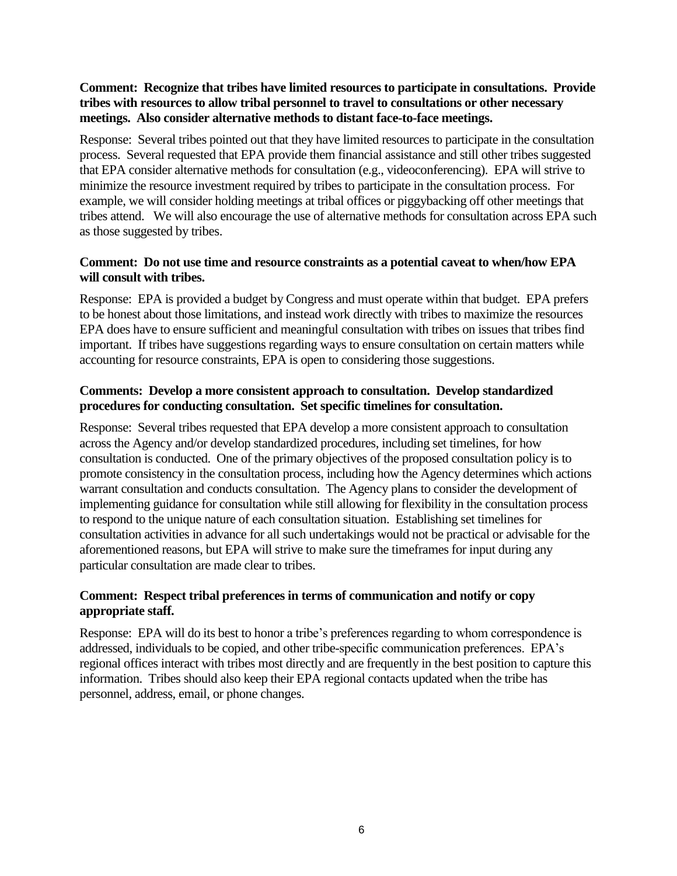## **Comment: Recognize that tribes have limited resources to participate in consultations. Provide tribes with resources to allow tribal personnel to travel to consultations or other necessary meetings. Also consider alternative methods to distant face-to-face meetings.**

Response: Several tribes pointed out that they have limited resources to participate in the consultation process. Several requested that EPA provide them financial assistance and still other tribes suggested that EPA consider alternative methods for consultation (e.g., videoconferencing). EPA will strive to minimize the resource investment required by tribes to participate in the consultation process. For example, we will consider holding meetings at tribal offices or piggybacking off other meetings that tribes attend. We will also encourage the use of alternative methods for consultation across EPA such as those suggested by tribes.

## **Comment: Do not use time and resource constraints as a potential caveat to when/how EPA will consult with tribes.**

Response: EPA is provided a budget by Congress and must operate within that budget. EPA prefers to be honest about those limitations, and instead work directly with tribes to maximize the resources EPA does have to ensure sufficient and meaningful consultation with tribes on issues that tribes find important. If tribes have suggestions regarding ways to ensure consultation on certain matters while accounting for resource constraints, EPA is open to considering those suggestions.

## **Comments: Develop a more consistent approach to consultation. Develop standardized procedures for conducting consultation. Set specific timelines for consultation.**

Response: Several tribes requested that EPA develop a more consistent approach to consultation across the Agency and/or develop standardized procedures, including set timelines, for how consultation is conducted. One of the primary objectives of the proposed consultation policy is to promote consistency in the consultation process, including how the Agency determines which actions warrant consultation and conducts consultation. The Agency plans to consider the development of implementing guidance for consultation while still allowing for flexibility in the consultation process to respond to the unique nature of each consultation situation. Establishing set timelines for consultation activities in advance for all such undertakings would not be practical or advisable for the aforementioned reasons, but EPA will strive to make sure the timeframes for input during any particular consultation are made clear to tribes.

## **Comment: Respect tribal preferences in terms of communication and notify or copy appropriate staff.**

Response: EPA will do its best to honor a tribe's preferences regarding to whom correspondence is addressed, individuals to be copied, and other tribe-specific communication preferences. EPA"s regional offices interact with tribes most directly and are frequently in the best position to capture this information. Tribes should also keep their EPA regional contacts updated when the tribe has personnel, address, email, or phone changes.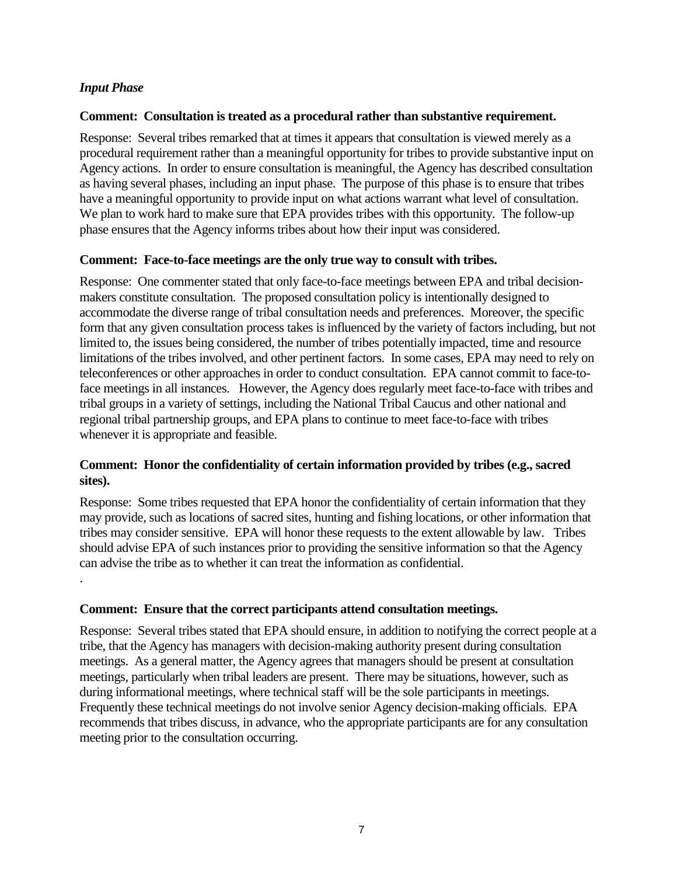## *Input Phase*

.

### **Comment: Consultation is treated as a procedural rather than substantive requirement.**

Response: Several tribes remarked that at times it appears that consultation is viewed merely as a procedural requirement rather than a meaningful opportunity for tribes to provide substantive input on Agency actions. In order to ensure consultation is meaningful, the Agency has described consultation as having several phases, including an input phase. The purpose of this phase is to ensure that tribes have a meaningful opportunity to provide input on what actions warrant what level of consultation. We plan to work hard to make sure that EPA provides tribes with this opportunity. The follow-up phase ensures that the Agency informs tribes about how their input was considered.

#### **Comment: Face-to-face meetings are the only true way to consult with tribes.**

Response: One commenter stated that only face-to-face meetings between EPA and tribal decisionmakers constitute consultation. The proposed consultation policy is intentionally designed to accommodate the diverse range of tribal consultation needs and preferences. Moreover, the specific form that any given consultation process takes is influenced by the variety of factors including, but not limited to, the issues being considered, the number of tribes potentially impacted, time and resource limitations of the tribes involved, and other pertinent factors. In some cases, EPA may need to rely on teleconferences or other approaches in order to conduct consultation. EPA cannot commit to face-toface meetings in all instances. However, the Agency does regularly meet face-to-face with tribes and tribal groups in a variety of settings, including the National Tribal Caucus and other national and regional tribal partnership groups, and EPA plans to continue to meet face-to-face with tribes whenever it is appropriate and feasible.

### **Comment: Honor the confidentiality of certain information provided by tribes (e.g., sacred sites).**

Response: Some tribes requested that EPA honor the confidentiality of certain information that they may provide, such as locations of sacred sites, hunting and fishing locations, or other information that tribes may consider sensitive. EPA will honor these requests to the extent allowable by law. Tribes should advise EPA of such instances prior to providing the sensitive information so that the Agency can advise the tribe as to whether it can treat the information as confidential.

#### **Comment: Ensure that the correct participants attend consultation meetings.**

Response: Several tribes stated that EPA should ensure, in addition to notifying the correct people at a tribe, that the Agency has managers with decision-making authority present during consultation meetings. As a general matter, the Agency agrees that managers should be present at consultation meetings, particularly when tribal leaders are present. There may be situations, however, such as during informational meetings, where technical staff will be the sole participants in meetings. Frequently these technical meetings do not involve senior Agency decision-making officials. EPA recommends that tribes discuss, in advance, who the appropriate participants are for any consultation meeting prior to the consultation occurring.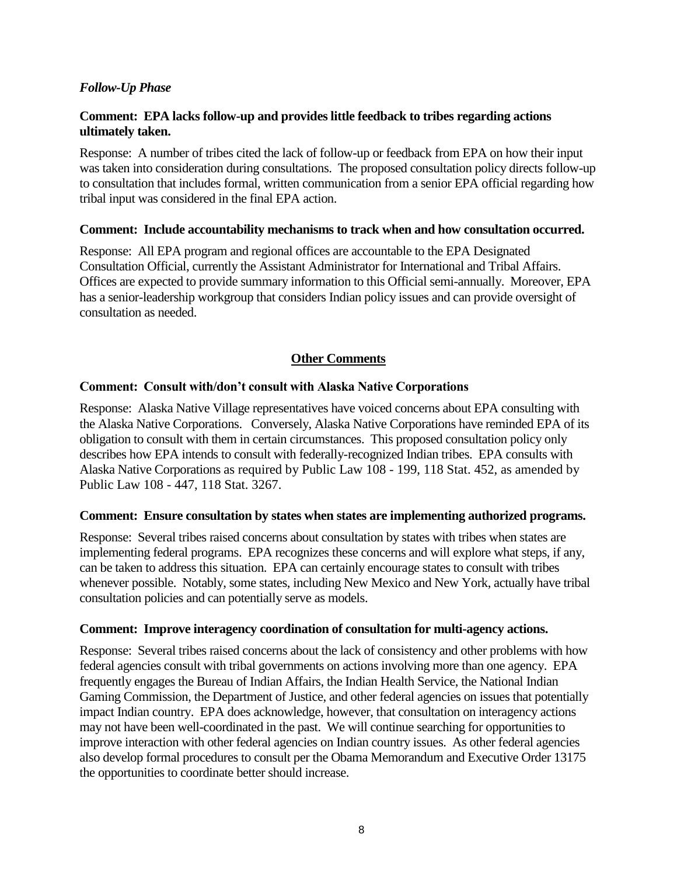## *Follow-Up Phase*

## **Comment: EPA lacks follow-up and provides little feedback to tribes regarding actions ultimately taken.**

Response: A number of tribes cited the lack of follow-up or feedback from EPA on how their input was taken into consideration during consultations. The proposed consultation policy directs follow-up to consultation that includes formal, written communication from a senior EPA official regarding how tribal input was considered in the final EPA action.

### **Comment: Include accountability mechanisms to track when and how consultation occurred.**

Response: All EPA program and regional offices are accountable to the EPA Designated Consultation Official, currently the Assistant Administrator for International and Tribal Affairs. Offices are expected to provide summary information to this Official semi-annually. Moreover, EPA has a senior-leadership workgroup that considers Indian policy issues and can provide oversight of consultation as needed.

### **Other Comments**

### **Comment: Consult with/don't consult with Alaska Native Corporations**

Response: Alaska Native Village representatives have voiced concerns about EPA consulting with the Alaska Native Corporations. Conversely, Alaska Native Corporations have reminded EPA of its obligation to consult with them in certain circumstances. This proposed consultation policy only describes how EPA intends to consult with federally-recognized Indian tribes. EPA consults with Alaska Native Corporations as required by Public Law 108 - 199, 118 Stat. 452, as amended by Public Law 108 - 447, 118 Stat. 3267.

### **Comment: Ensure consultation by states when states are implementing authorized programs.**

Response: Several tribes raised concerns about consultation by states with tribes when states are implementing federal programs. EPA recognizes these concerns and will explore what steps, if any, can be taken to address this situation. EPA can certainly encourage states to consult with tribes whenever possible. Notably, some states, including New Mexico and New York, actually have tribal consultation policies and can potentially serve as models.

#### **Comment: Improve interagency coordination of consultation for multi-agency actions.**

Response: Several tribes raised concerns about the lack of consistency and other problems with how federal agencies consult with tribal governments on actions involving more than one agency. EPA frequently engages the Bureau of Indian Affairs, the Indian Health Service, the National Indian Gaming Commission, the Department of Justice, and other federal agencies on issues that potentially impact Indian country. EPA does acknowledge, however, that consultation on interagency actions may not have been well-coordinated in the past. We will continue searching for opportunities to improve interaction with other federal agencies on Indian country issues. As other federal agencies also develop formal procedures to consult per the Obama Memorandum and Executive Order 13175 the opportunities to coordinate better should increase.